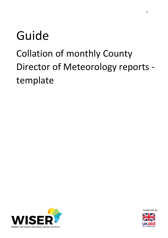# Guide Collation of monthly County Director of Meteorology reports template



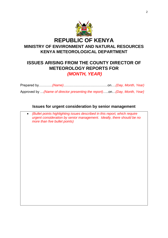

# **ISSUES ARISING FROM THE COUNTY DIRECTOR OF METEOROLOGY REPORTS FOR**  *(MONTH, YEAR)*

Prepared by…………*(Name)*…………………………………on….*(Day, Month, Year)*

Approved by …*(Name of director presenting the report)*…..on…*(Day, Month, Year}*

# **Issues for urgent consideration by senior management**

 *(Bullet points highlighting issues described in this report, which require urgent consideration by senior management. Ideally, there should be no more than five bullet points)*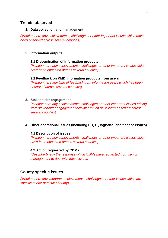# **Trends observed**

## **1. Data collection and management**

*(Mention here any achievements, challenges or other important issues which have been observed across several counties)*

#### **2. Information outputs**

## **2.1 Dissemination of information products**

*(Mention here any achievements, challenges or other important issues which have been observed across several counties)*

#### **2.2 Feedback on KMD information products from users**

*(Mention here any type of feedback from information users which has been observed across several counties)*

#### **3. Stakeholder engagement**

*(Mention here any achievements, challenges or other important issues arising from stakeholder engagement activities which have been observed across several counties)*

# **4. Other operational issues (including HR, IT, logistical and finance issues)**

#### **4.1 Description of issues**

*(Mention here any achievements, challenges or other important issues which have been observed across several counties)*

## **4.2 Action requested by CDMs**

*(Describe briefly the response which CDMs have requested from senior management to deal with these issues*

# **County specific issues**

*(Mention here any important achievements, challenges or other issues which are specific to one particular county)*